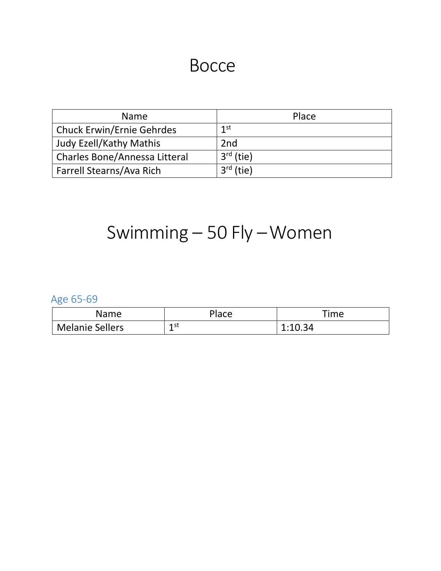## Bocce

| <b>Name</b>                      | Place           |
|----------------------------------|-----------------|
| <b>Chuck Erwin/Ernie Gehrdes</b> | 1 <sup>st</sup> |
| <b>Judy Ezell/Kathy Mathis</b>   | 2 <sub>nd</sub> |
| Charles Bone/Annessa Litteral    | $3rd$ (tie)     |
| Farrell Stearns/Ava Rich         | $3rd$ (tie)     |

# Swimming – 50 Fly –Women

Age 65-69

| Name                   | <b>Place</b> | Time    |
|------------------------|--------------|---------|
| <b>Melanie Sellers</b> | 1 st<br>ᅩ    | 1:10.34 |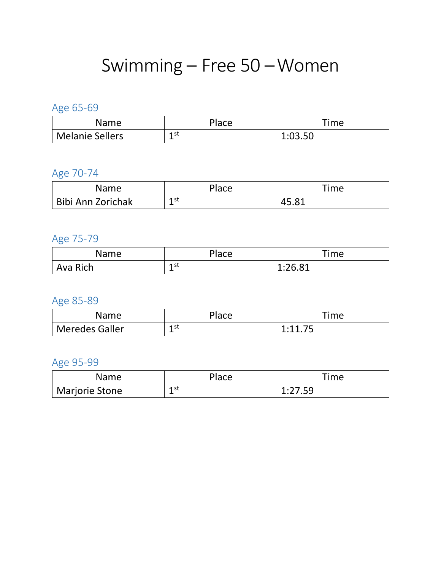## Swimming – Free 50 –Women

### Age 65-69

| Name                   | Place            | Time    |
|------------------------|------------------|---------|
| <b>Melanie Sellers</b> | 1 st<br><b>.</b> | 1:03.50 |

## Age 70-74

| Name                     | <b>Place</b> | Time                |
|--------------------------|--------------|---------------------|
| <b>Bibi Ann Zorichak</b> | 1 st<br>ᆠ    | <b>O</b> 1<br>4J.O_ |

### Age 75-79

| Name     | <b>Place</b> | Time                     |
|----------|--------------|--------------------------|
| Ava Rich | 1st<br>ᅩ     | ·JG 81<br><b>L.LU.UL</b> |

### Age 85-89

| Name                  | Place     | ïme  |
|-----------------------|-----------|------|
| <b>Meredes Galler</b> | 1 st<br>ᅩ | 1.11 |

### Age 95-99

| Name                        | Place                 | Гime                          |
|-----------------------------|-----------------------|-------------------------------|
| <sup>'</sup> Marjorie Stone | 1 st<br><b>.</b><br>— | $1.77$ 50<br>1. <i>21</i> .JJ |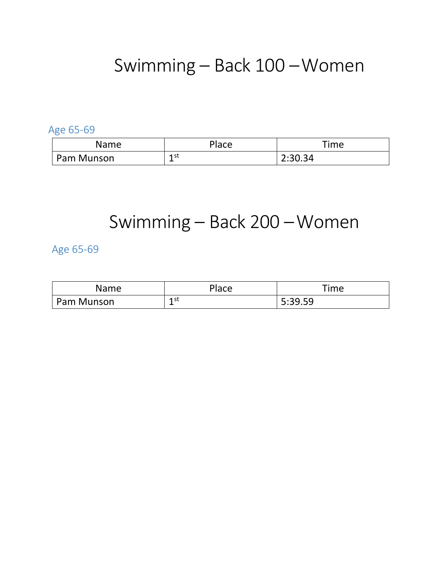## Swimming – Back 100 –Women

Age 65-69

| <b>Name</b> | Place            | Time    |
|-------------|------------------|---------|
| Pam Munson  | 1 st<br><b>.</b> | 2:30.34 |

## Swimming – Back 200 –Women

Age 65-69

| <b>Name</b> | <b>Place</b>     | Time    |
|-------------|------------------|---------|
| Pam Munson  | 1 st<br><b>.</b> | 5:39.59 |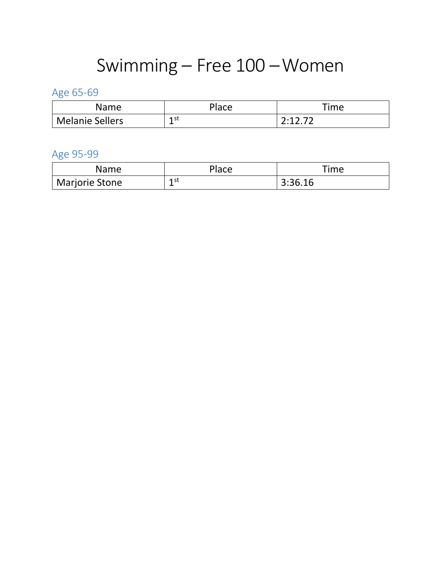# Swimming – Free 100 –Women

## Age 65-69

| Name                   | Place     | Time            |
|------------------------|-----------|-----------------|
| <b>Melanie Sellers</b> | 1 st<br>ᅩ | ำ 11 ว่ 7า<br>. |

### Age 95-99

| Name                  | Place     | Time    |
|-----------------------|-----------|---------|
| <b>Marjorie Stone</b> | 1 st<br>∸ | 3:36.16 |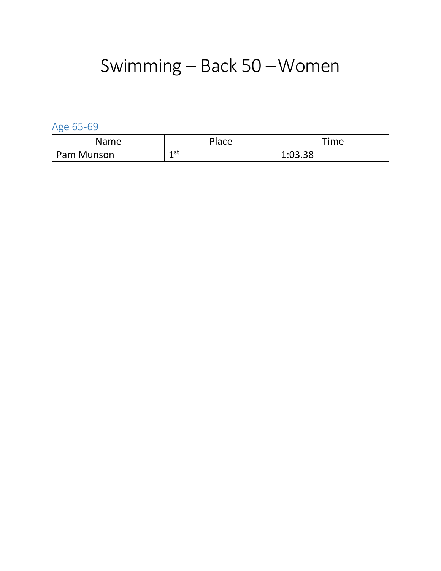# Swimming – Back 50 –Women

Age 65-69

| <b>Name</b> | <b>Place</b> | Time    |
|-------------|--------------|---------|
| Pam Munson  | 1 st<br>÷    | 1:03.38 |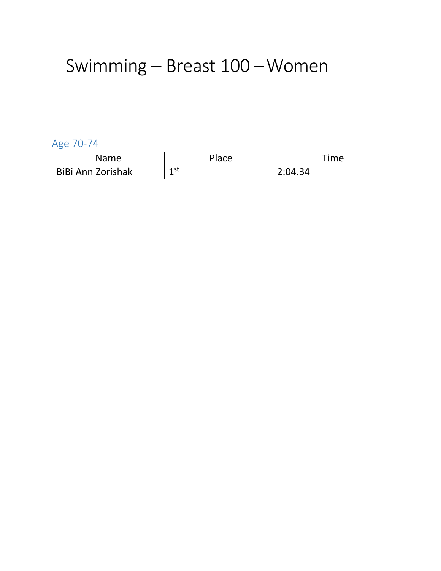## Swimming – Breast 100 –Women

Age 70-74

| Name              | Place     | Гime    |
|-------------------|-----------|---------|
| BiBi Ann Zorishak | 1 st<br>ᅩ | 2:04.34 |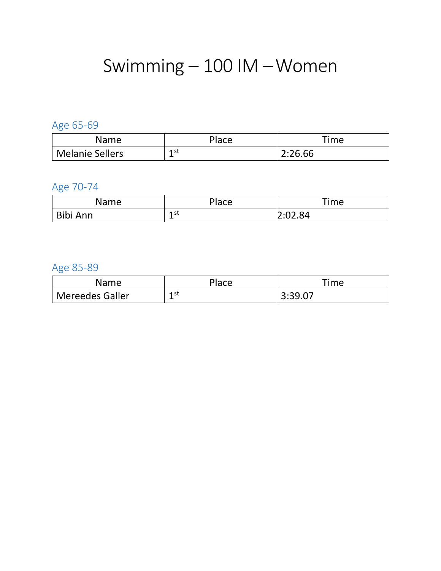## Swimming – 100 IM –Women

### Age 65-69

| Name              | <b>Place</b> | Time    |
|-------------------|--------------|---------|
| ' Melanie Sellers | 1 st<br>÷    | 2:26.66 |

### Age 70-74

| Name     | Place            | Time    |
|----------|------------------|---------|
| Bibi Ann | 1 st<br><b>.</b> | 2:02.84 |

### Age 85-89

| Name            | Place | ïme     |
|-----------------|-------|---------|
| Mereedes Galler | 1st   | 3:39.07 |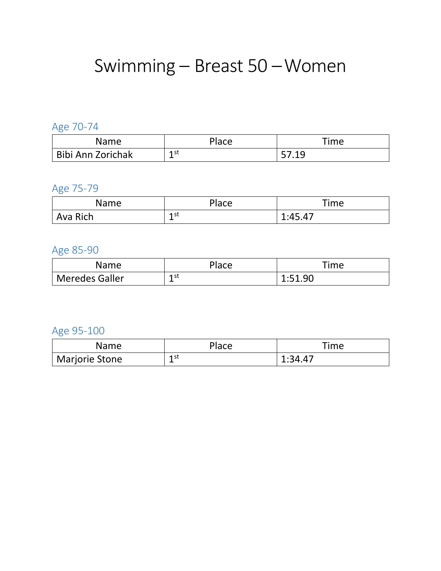# Swimming – Breast 50 –Women

### Age 70-74

| Name                     | Place    | Time           |
|--------------------------|----------|----------------|
| <b>Bibi Ann Zorichak</b> | 1st<br>ᅩ | E710<br>.<br>້ |

## Age 75-79

| Name     | Place            | Time                      |
|----------|------------------|---------------------------|
| Ava Rich | 1 st<br><b>+</b> | $1.45$ $47$<br>── し. ── ノ |

### Age 85-90

| Name                  | Place           | 'ime    |
|-----------------------|-----------------|---------|
| <b>Meredes Galler</b> | 1st<br><b>.</b> | 1:51.90 |

### Age 95-100

| Name                  | Place     | Time    |
|-----------------------|-----------|---------|
| <b>Marjorie Stone</b> | 1 st<br>∸ | 1:34.47 |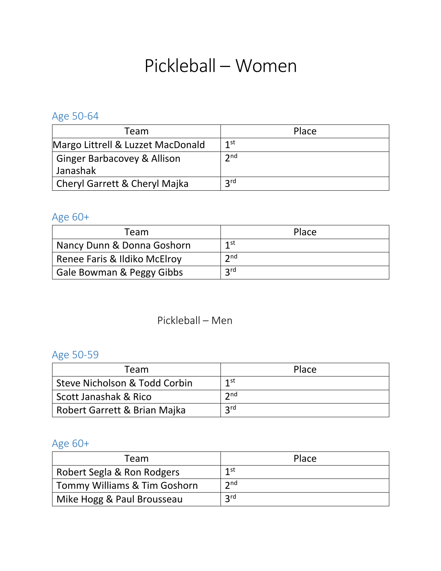## Pickleball – Women

Age 50-64

| Team                                   | Place           |
|----------------------------------------|-----------------|
| Margo Littrell & Luzzet MacDonald      | 1st             |
| <b>Ginger Barbacovey &amp; Allison</b> | 2 <sub>nd</sub> |
| Janashak                               |                 |
| Cheryl Garrett & Cheryl Majka          | 2rd             |

## Age 60+

| Team                         | Place      |
|------------------------------|------------|
| Nancy Dunn & Donna Goshorn   | 1st        |
| Renee Faris & Ildiko McElroy | 2nd        |
| Gale Bowman & Peggy Gibbs    | <b>2rd</b> |

### Pickleball – Men

### Age 50-59

| Team                          | Place             |
|-------------------------------|-------------------|
| Steve Nicholson & Todd Corbin | 1st               |
| Scott Janashak & Rico         | $\mathbf{\Im}$ nd |
| Robert Garrett & Brian Majka  | <b>2rd</b>        |

## Age 60+

| Team                         | Place           |
|------------------------------|-----------------|
| Robert Segla & Ron Rodgers   | $1$ st          |
| Tommy Williams & Tim Goshorn | 2 <sub>nd</sub> |
| Mike Hogg & Paul Brousseau   | <b>2rd</b>      |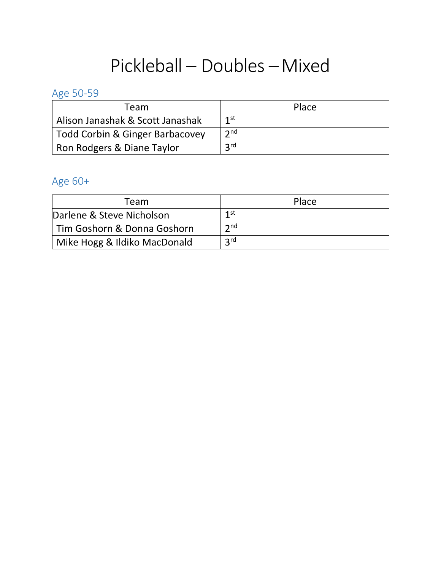## Pickleball – Doubles –Mixed

### Age 50-59

| Team                             | Place           |
|----------------------------------|-----------------|
| Alison Janashak & Scott Janashak | 1st             |
| Todd Corbin & Ginger Barbacovey  | 2 <sub>nd</sub> |
| Ron Rodgers & Diane Taylor       | <b>2rd</b>      |

## Age 60+

| Team                         | Place          |
|------------------------------|----------------|
| Darlene & Steve Nicholson    | 1st            |
| Tim Goshorn & Donna Goshorn  | $\mathsf{2nd}$ |
| Mike Hogg & Ildiko MacDonald | 2rd            |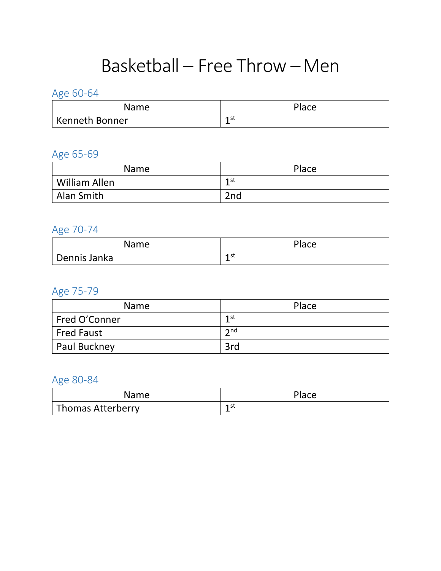## Basketball – Free Throw –Men

Age 60-64

| Name                  | Place    |
|-----------------------|----------|
| <b>Kenneth Bonner</b> | 1st<br>- |

### Age 65-69

| <b>Name</b>   | Place |
|---------------|-------|
| William Allen | 1st   |
| Alan Smith    | 2nd   |

#### Age 70-74

| Name         | Place     |
|--------------|-----------|
| Dennis Janka | 1 st<br>- |

## Age 75-79

| <b>Name</b>       | Place |
|-------------------|-------|
| Fred O'Conner     | 1st   |
| <b>Fred Faust</b> | 2nd   |
| Paul Buckney      | 3rd   |

| Name                     | Place |
|--------------------------|-------|
| <b>Thomas Atterberry</b> | 1st   |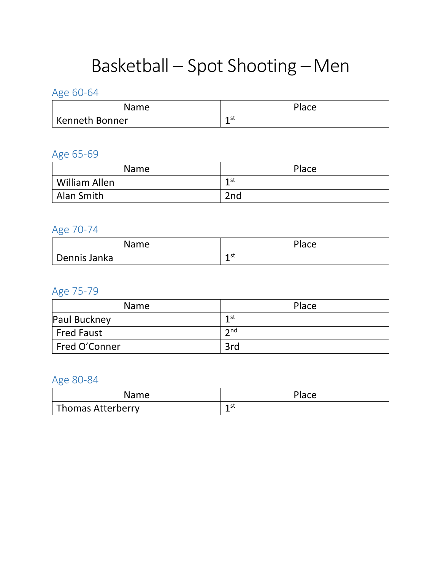# Basketball – Spot Shooting –Men

Age 60-64

| Name                  | Place    |
|-----------------------|----------|
| <b>Kenneth Bonner</b> | 1st<br>- |

### Age 65-69

| <b>Name</b>   | Place |
|---------------|-------|
| William Allen | 1st   |
| Alan Smith    | 2nd   |

#### Age 70-74

| <b>Name</b>  | Place     |
|--------------|-----------|
| Dennis Janka | 1 st<br>- |

#### Age 75-79

| <b>Name</b>       | Place  |
|-------------------|--------|
| Paul Buckney      | 1st    |
| <b>Fred Faust</b> | $2n$ d |
| Fred O'Conner     | 3rd    |

| Name              | Place |
|-------------------|-------|
| Thomas Atterberry | 1st   |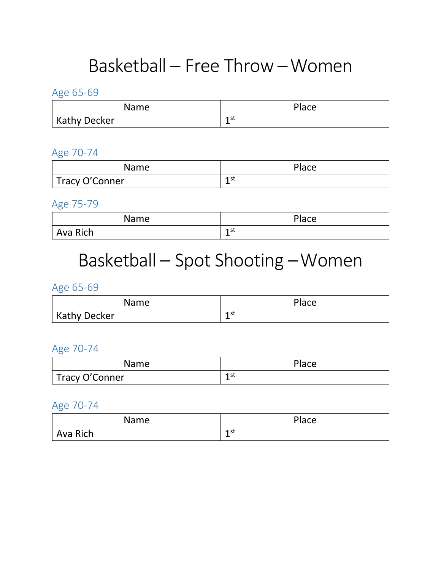## Basketball – Free Throw –Women

Age 65-69

| <b>Name</b>  | Place     |
|--------------|-----------|
| Kathy Decker | 1 st<br>- |

Age 70-74

| Name           | Place     |
|----------------|-----------|
| Tracy O'Conner | 1st<br>-- |

Age 75-79

| Name     | Place |
|----------|-------|
| Ava Rich | 1st   |

## Basketball – Spot Shooting –Women

Age 65-69

| Name                | Place     |
|---------------------|-----------|
| <b>Kathy Decker</b> | 1 st<br>- |

Age 70-74

| <b>Name</b>    | Place      |
|----------------|------------|
| Tracy O'Conner | 1 st<br>-- |

Age 70-74

| Name     | Place     |
|----------|-----------|
| Ava Rich | 1 st<br>- |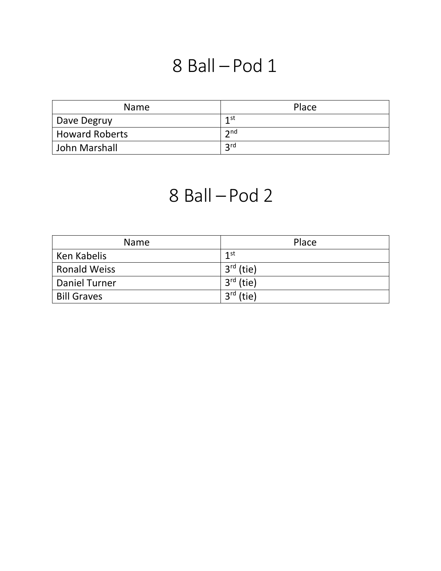## 8 Ball – Pod 1

| <b>Name</b>           | Place             |
|-----------------------|-------------------|
| Dave Degruy           | 1st               |
| <b>Howard Roberts</b> | $\mathbf{\Omega}$ |
| John Marshall         | <b>2rd</b>        |

## 8 Ball – Pod 2

| <b>Name</b>          | Place       |
|----------------------|-------------|
| Ken Kabelis          | 1st         |
| <b>Ronald Weiss</b>  | $3rd$ (tie) |
| <b>Daniel Turner</b> | $3rd$ (tie) |
| <b>Bill Graves</b>   | $3rd$ (tie) |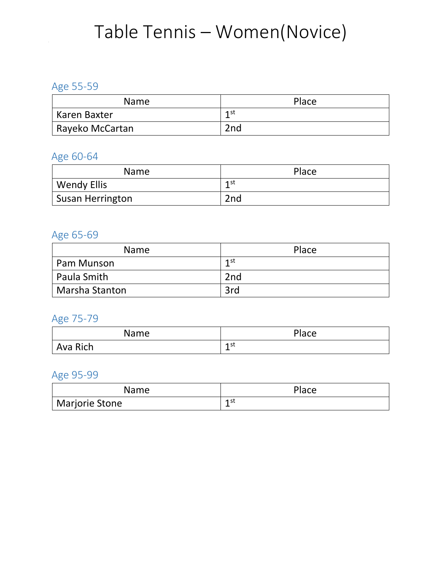# Table Tennis - Women(Novice)

#### Age 55-59

| <b>Name</b>     | Place           |
|-----------------|-----------------|
| Karen Baxter    | 1 st            |
| Rayeko McCartan | 2 <sub>nd</sub> |

### Age 60-64

| <b>Name</b>             | Place |
|-------------------------|-------|
| <b>Wendy Ellis</b>      | 1st   |
| <b>Susan Herrington</b> | 2nd   |

### Age 65-69

| <b>Name</b>    | Place |
|----------------|-------|
| Pam Munson     | 1st   |
| Paula Smith    | 2nd   |
| Marsha Stanton | 3rd   |

### Age 75-79

| Name     | Place                   |
|----------|-------------------------|
| Ava Rich | 1 st<br><u>. на так</u> |

### Age 95-99

| Name           | Place |
|----------------|-------|
| Marjorie Stone | 1 st  |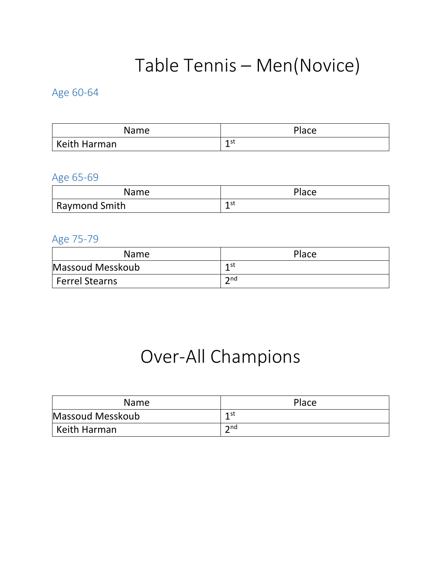# Table Tennis – Men(Novice)

### Age 60-64

| Name         | <b>Place</b> |
|--------------|--------------|
| Keith Harman | 1 st         |

#### Age 65-69

| Name                 | Place |
|----------------------|-------|
| <b>Raymond Smith</b> | 1 st  |

#### Age 75-79

| <b>Name</b>           | Place             |
|-----------------------|-------------------|
| Massoud Messkoub      | 1st               |
| <b>Ferrel Stearns</b> | $\mathbf{\infty}$ |

## Over-All Champions

| <b>Name</b>      | Place          |
|------------------|----------------|
| Massoud Messkoub | 1 st           |
| Keith Harman     | $\mathsf{and}$ |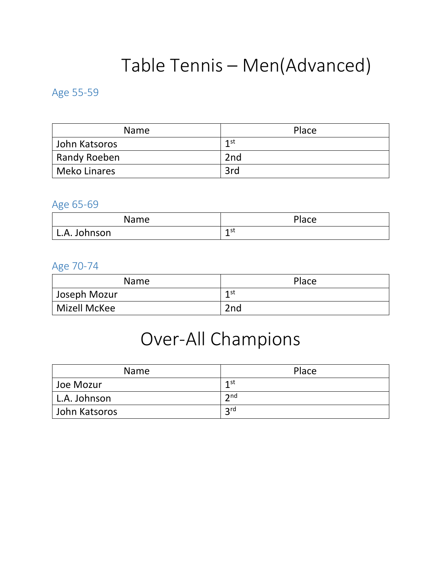# Table Tennis – Men(Advanced)

#### Age 55-59

| <b>Name</b>         | Place |
|---------------------|-------|
| John Katsoros       | 1st   |
| Randy Roeben        | 2nd   |
| <b>Meko Linares</b> | 3rd   |

#### Age 65-69

| Name         | <b>Place</b> |
|--------------|--------------|
| L.A. Johnson | 1st<br>-     |

#### Age 70-74

| Name         | Place           |
|--------------|-----------------|
| Joseph Mozur | 1st             |
| Mizell McKee | 2 <sub>nd</sub> |

## Over-All Champions

| <b>Name</b>   | Place             |
|---------------|-------------------|
| Joe Mozur     | 1st               |
| L.A. Johnson  | $\mathbf{\Im}$ nd |
| John Katsoros | 2rd               |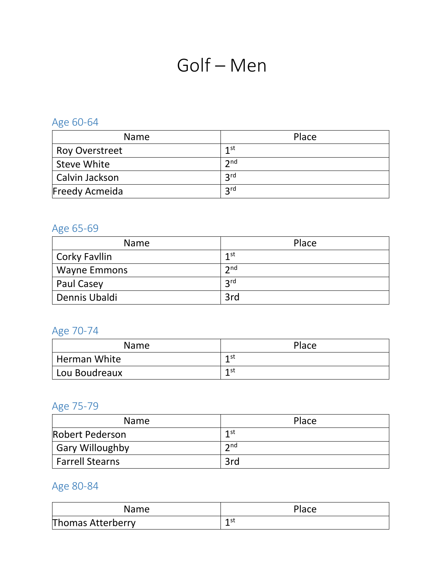# Golf – Men

## Age 60-64

| <b>Name</b>           | Place           |
|-----------------------|-----------------|
| <b>Roy Overstreet</b> | 1st             |
| <b>Steve White</b>    | 2nd             |
| Calvin Jackson        | 2 <sub>rd</sub> |
| <b>Freedy Acmeida</b> | <b>2rd</b>      |

## Age 65-69

| <b>Name</b>         | Place      |
|---------------------|------------|
| Corky Favilin       | 1st        |
| <b>Wayne Emmons</b> | 2nd        |
| <b>Paul Casey</b>   | <b>2rd</b> |
| Dennis Ubaldi       | 3rd        |

## Age 70-74

| <b>Name</b>    | Place |
|----------------|-------|
| ' Herman White | 1 st  |
| Lou Boudreaux  | 1st   |

## Age 75-79

| <b>Name</b>            | Place           |
|------------------------|-----------------|
| Robert Pederson        | 1st             |
| <b>Gary Willoughby</b> | 2 <sub>nd</sub> |
| <b>Farrell Stearns</b> | 3rd             |

| Name                     | Place |
|--------------------------|-------|
| <b>Thomas Atterberry</b> | 1 st  |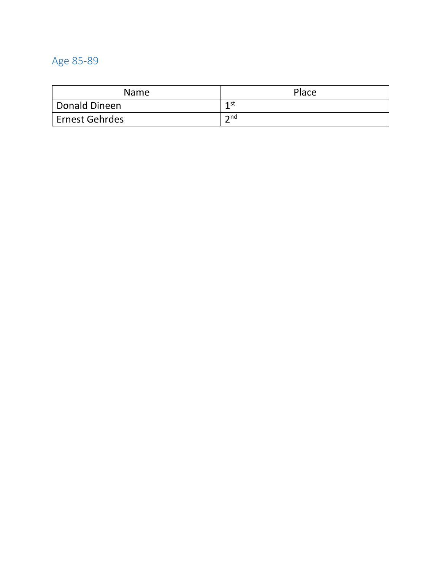#### Age 85 -89

| <b>Name</b>      | Place          |
|------------------|----------------|
| Donald Dineen    | 1st            |
| ' Ernest Gehrdes | $\mathsf{and}$ |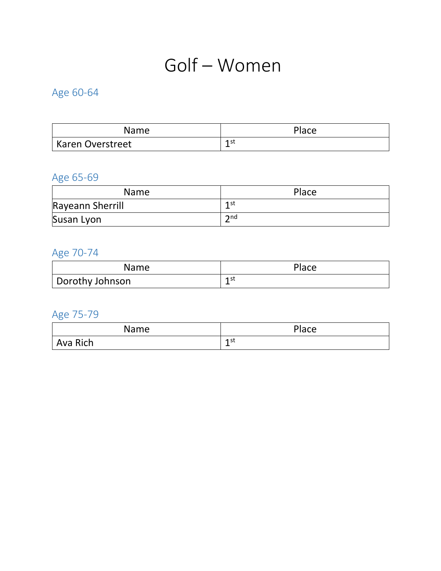## Golf – Women

## Age 60-64

| Name             | Place |
|------------------|-------|
| Karen Overstreet | 1 st  |

## Age 65-69

| <b>Name</b>      | Place           |
|------------------|-----------------|
| Rayeann Sherrill | 1 st            |
| Susan Lyon       | $\mathsf{C}$ nd |

## Age 70-74

| <b>Name</b>     | Place |
|-----------------|-------|
| Dorothy Johnson | 1st   |

## Age 75-79

| Name     | Place    |
|----------|----------|
| Ava Rich | 1st<br>- |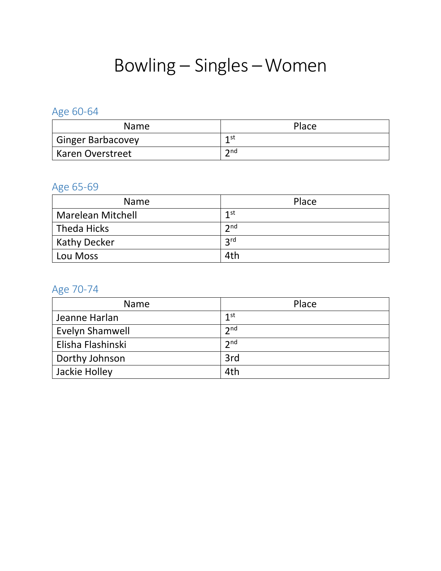## Bowling – Singles –Women

## Age 60-64

| <b>Name</b>              | Place          |
|--------------------------|----------------|
| <b>Ginger Barbacovey</b> | 1 st           |
| <b>Karen Overstreet</b>  | $\mathsf{and}$ |

### Age 65-69

| <b>Name</b>              | Place           |
|--------------------------|-----------------|
| <b>Marelean Mitchell</b> | 1st             |
| <b>Theda Hicks</b>       | 2 <sub>nd</sub> |
| <b>Kathy Decker</b>      | 2rd             |
| Lou Moss                 | 4th             |

### Age 70-74

| <b>Name</b>       | Place           |
|-------------------|-----------------|
| Jeanne Harlan     | 1 <sup>st</sup> |
| Evelyn Shamwell   | 2 <sub>nd</sub> |
| Elisha Flashinski | 2 <sub>nd</sub> |
| Dorthy Johnson    | 3rd             |
| Jackie Holley     | 4th             |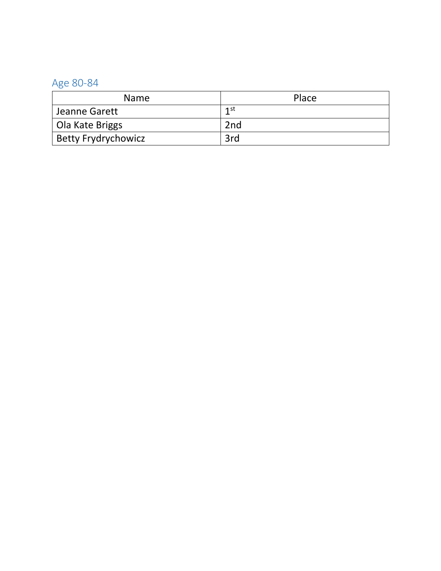| <b>Name</b>                | Place |
|----------------------------|-------|
| Jeanne Garett              | 1st   |
| Ola Kate Briggs            | 2nd   |
| <b>Betty Frydrychowicz</b> | 3rd   |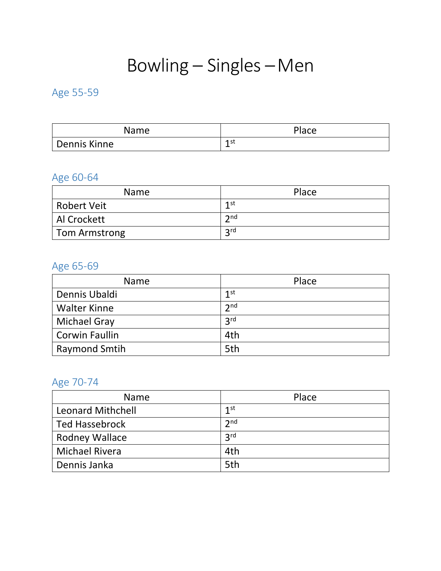## Bowling – Singles –Men

### Age 55-59

| Name         | Place     |
|--------------|-----------|
| Dennis Kinne | 1 st<br>- |

## Age 60-64

| <b>Name</b>        | Place                |
|--------------------|----------------------|
| <b>Robert Veit</b> | 1st                  |
| Al Crockett        | $\mathbf{\Omega}$ nd |
| Tom Armstrong      | 2rd                  |

## Age 65-69

| <b>Name</b>          | Place           |
|----------------------|-----------------|
| Dennis Ubaldi        | 1 <sup>st</sup> |
| <b>Walter Kinne</b>  | 2 <sub>nd</sub> |
| <b>Michael Gray</b>  | 3 <sup>rd</sup> |
| Corwin Faullin       | 4th             |
| <b>Raymond Smtih</b> | 5th             |

## Age 70-74

| <b>Name</b>              | Place           |
|--------------------------|-----------------|
| <b>Leonard Mithchell</b> | 1 <sup>st</sup> |
| <b>Ted Hassebrock</b>    | 2 <sub>nd</sub> |
| <b>Rodney Wallace</b>    | 3 <sup>rd</sup> |
| <b>Michael Rivera</b>    | 4th             |
| Dennis Janka             | 5th             |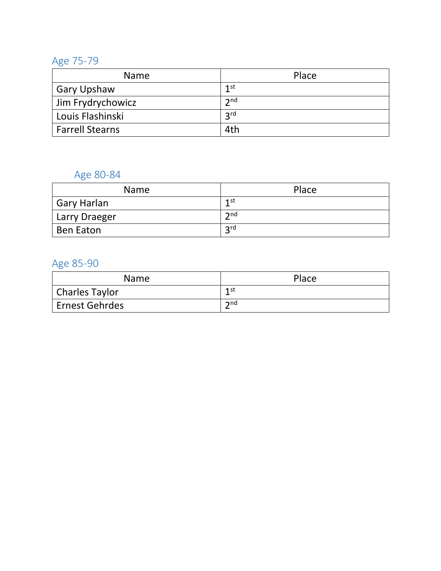#### Age 75 -79

| <b>Name</b>            | Place             |
|------------------------|-------------------|
| <b>Gary Upshaw</b>     | 1st               |
| Jim Frydrychowicz      | $\mathbf{\Im}$ nd |
| Louis Flashinski       | 2 <sub>rd</sub>   |
| <b>Farrell Stearns</b> | 4th               |

## Age 80-84

| <b>Name</b>        | Place             |
|--------------------|-------------------|
| <b>Gary Harlan</b> | 1st               |
| Larry Draeger      | $\mathbf{\Im}$ nd |
| Ben Eaton          | <b>2rd</b>        |

#### Age 85 -90

| Name                        | Place             |
|-----------------------------|-------------------|
| Charles Taylor              | 1st               |
| <sup>'</sup> Ernest Gehrdes | $\mathbf{\infty}$ |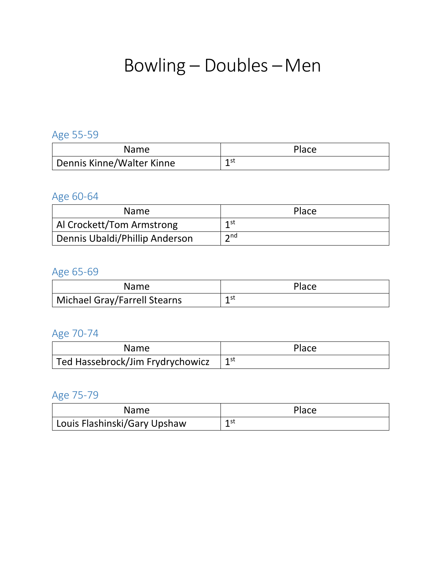## Bowling – Doubles –Men

## Age 55-59

| <b>Name</b>                            | Place |
|----------------------------------------|-------|
| <sup>1</sup> Dennis Kinne/Walter Kinne | 1st   |

### Age 60-64

| <b>Name</b>                    | Place             |
|--------------------------------|-------------------|
| Al Crockett/Tom Armstrong      | 1st               |
| Dennis Ubaldi/Phillip Anderson | $\mathbf{\Omega}$ |

### Age 65-69

| <b>Name</b>                  | Place |
|------------------------------|-------|
| Michael Gray/Farrell Stearns | 1st   |

## Age 70-74

| <b>Name</b>                      | Place        |
|----------------------------------|--------------|
| Ted Hassebrock/Jim Frydrychowicz | $1^{\rm st}$ |

## Age 75-79

| <b>Name</b>                  | Place |
|------------------------------|-------|
| Louis Flashinski/Gary Upshaw | 1 st  |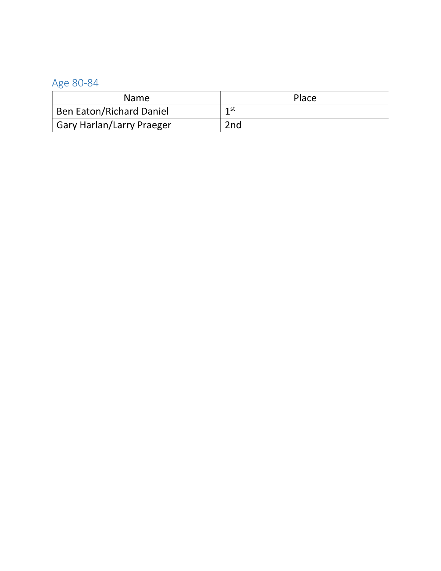| <b>Name</b>                      | Place           |
|----------------------------------|-----------------|
| Ben Eaton/Richard Daniel         | 1st             |
| <b>Gary Harlan/Larry Praeger</b> | 2 <sub>nd</sub> |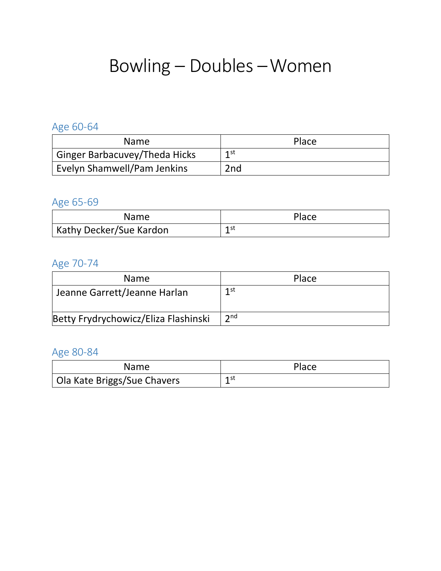## Bowling – Doubles –Women

### Age 60-64

| <b>Name</b>                          | Place           |
|--------------------------------------|-----------------|
| <b>Ginger Barbacuvey/Theda Hicks</b> | 1st             |
| Evelyn Shamwell/Pam Jenkins          | 2 <sub>nd</sub> |

### Age 65-69

| <b>Name</b>             | Place |
|-------------------------|-------|
| Kathy Decker/Sue Kardon | 1st   |

### Age 70-74

| <b>Name</b>                          | Place             |
|--------------------------------------|-------------------|
| Jeanne Garrett/Jeanne Harlan         | 1st               |
| Betty Frydrychowicz/Eliza Flashinski | $\mathbf{\Im}$ nd |

| <b>Name</b>                 | Place |
|-----------------------------|-------|
| Ola Kate Briggs/Sue Chavers | 1 st  |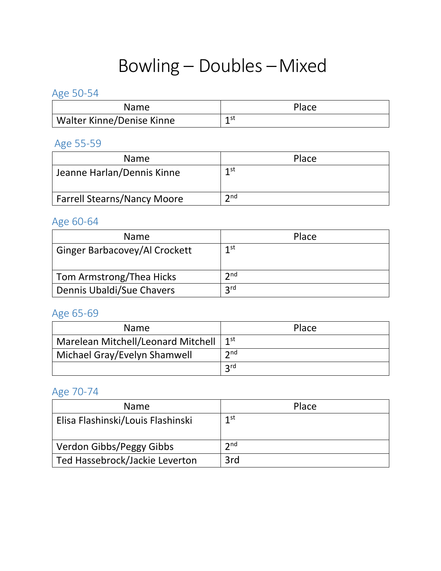# Bowling – Doubles –Mixed

#### Age 50-54

| Name                      | Place |
|---------------------------|-------|
| Walter Kinne/Denise Kinne | 1st   |

#### Age 55-59

| <b>Name</b>                        | Place             |
|------------------------------------|-------------------|
| Jeanne Harlan/Dennis Kinne         | 1st               |
| <b>Farrell Stearns/Nancy Moore</b> | $\mathbf{\Im}$ nd |

### Age 60-64

| <b>Name</b>                          | Place             |
|--------------------------------------|-------------------|
| <b>Ginger Barbacovey/Al Crockett</b> | 1st               |
| Tom Armstrong/Thea Hicks             | $\mathbf{\Im}$ nd |
| Dennis Ubaldi/Sue Chavers            | <b>2rd</b>        |

### Age 65-69

| <b>Name</b>                        | Place             |
|------------------------------------|-------------------|
| Marelean Mitchell/Leonard Mitchell | 1 <sup>st</sup>   |
| Michael Gray/Evelyn Shamwell       | $\mathbf{\Im}$ nd |
|                                    | <b>2rd</b>        |

## Age 70-74

| <b>Name</b>                       | Place |
|-----------------------------------|-------|
| Elisa Flashinski/Louis Flashinski | 1st   |
| Verdon Gibbs/Peggy Gibbs          | 2nd   |
| Ted Hassebrock/Jackie Leverton    | 3rd   |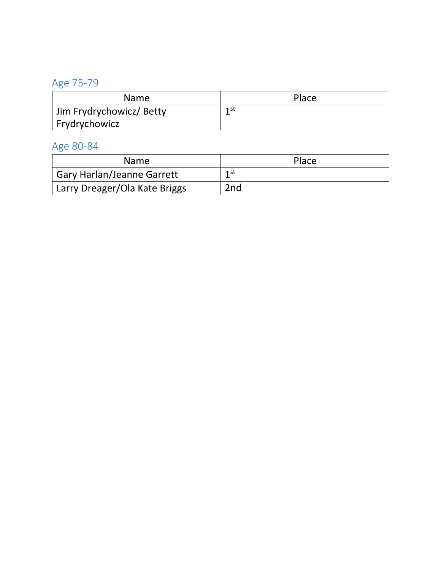## Age 75-79

| <b>Name</b>              | Place |
|--------------------------|-------|
| Jim Frydrychowicz/ Betty | 1st   |
| I Frydrychowicz          |       |

| <b>Name</b>                   | Place           |
|-------------------------------|-----------------|
| ' Gary Harlan/Jeanne Garrett  | 1st             |
| Larry Dreager/Ola Kate Briggs | 2 <sub>nd</sub> |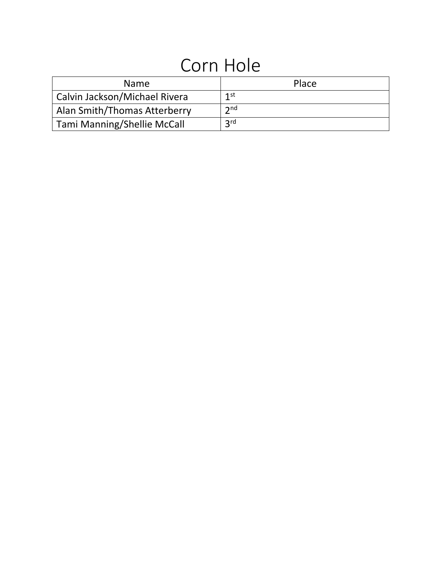## Corn Hole

| <b>Name</b>                        | Place           |
|------------------------------------|-----------------|
| Calvin Jackson/Michael Rivera      | 1st             |
| Alan Smith/Thomas Atterberry       | 2 <sub>nd</sub> |
| <b>Tami Manning/Shellie McCall</b> | <b>2rd</b>      |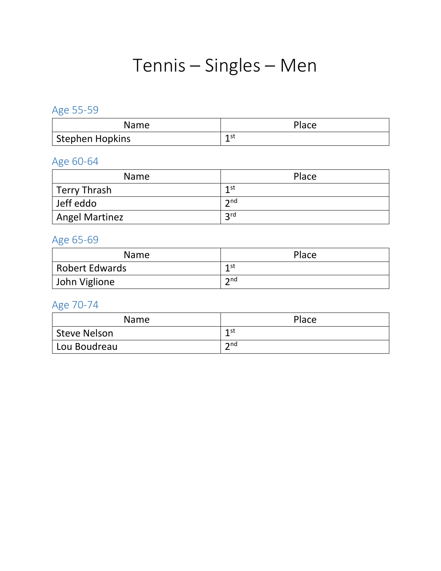## Tennis – Singles – Men

## Age 55-59

| Name            | Place |
|-----------------|-------|
| Stephen Hopkins | 1 st  |

## Age 60-64

| <b>Name</b>         | Place             |
|---------------------|-------------------|
| <b>Terry Thrash</b> | 1st               |
| Jeff eddo           | $\mathbf{\Im}$ nd |
| Angel Martinez      | <b>2rd</b>        |

### Age 65-69

| <b>Name</b>           | Place             |
|-----------------------|-------------------|
| <b>Robert Edwards</b> | 1 st              |
| John Viglione         | $\mathbf{\Omega}$ |

## Age 70-74

| <b>Name</b>  | Place          |
|--------------|----------------|
| Steve Nelson | 1st            |
| Lou Boudreau | $\mathsf{and}$ |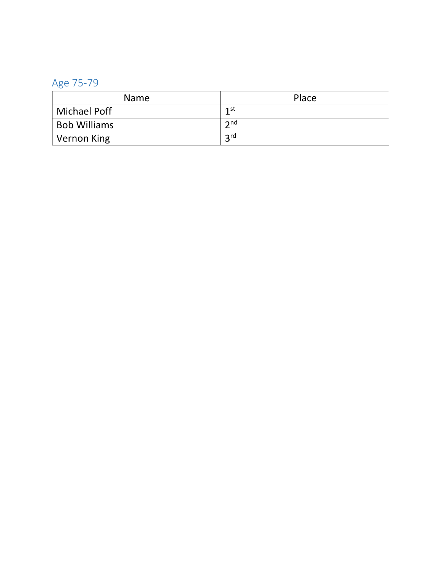#### Age 75 -79

| <b>Name</b>         | Place             |
|---------------------|-------------------|
| <b>Michael Poff</b> | 1st               |
| <b>Bob Williams</b> | $\mathbf{\Im}$ nd |
| Vernon King         | <b>2rd</b>        |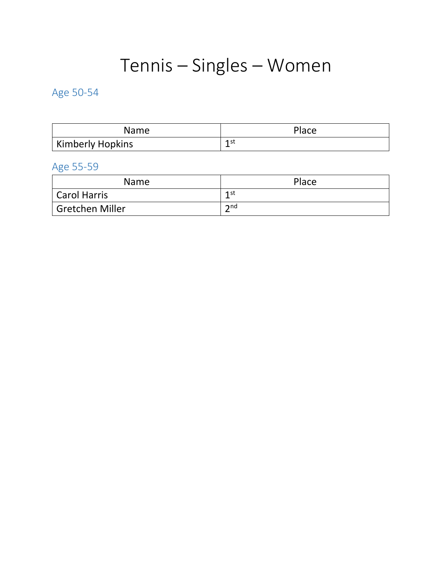# Tennis – Singles – Women

## Age 50-54

| <b>Name</b>      | Place |
|------------------|-------|
| Kimberly Hopkins | 1 st  |

## Age 55-59

| <b>Name</b>     | Place             |
|-----------------|-------------------|
| Carol Harris    | 1 st<br>-         |
| Gretchen Miller | $\mathbf{\Im}$ nd |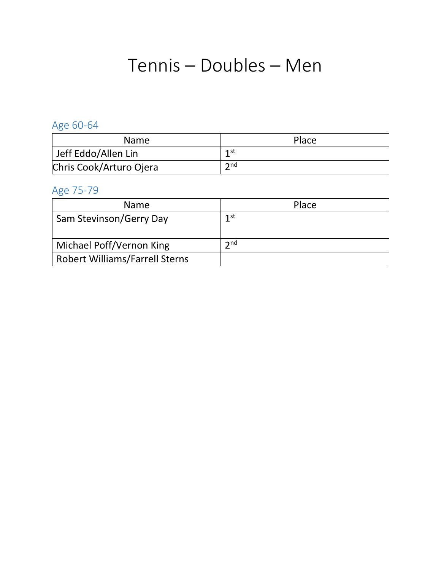## Tennis – Doubles – Men

## Age 60-64

| <b>Name</b>             | Place          |
|-------------------------|----------------|
| Jeff Eddo/Allen Lin     | 1st            |
| Chris Cook/Arturo Ojera | $\mathsf{and}$ |

## Age 75-79

| <b>Name</b>                           | Place             |
|---------------------------------------|-------------------|
| Sam Stevinson/Gerry Day               | 1st               |
| Michael Poff/Vernon King              | $\mathbf{\Omega}$ |
| <b>Robert Williams/Farrell Sterns</b> |                   |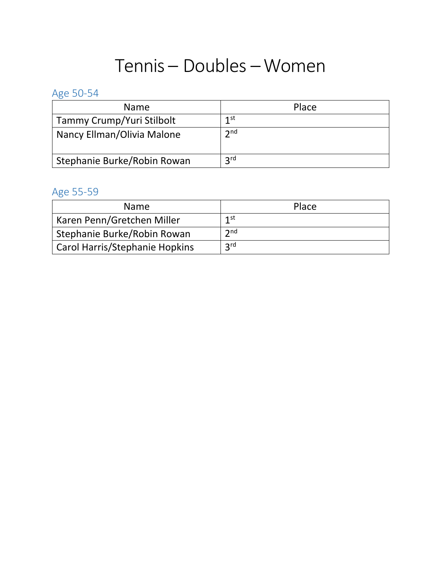## Tennis – Doubles –Women

## Age 50-54

| <b>Name</b>                 | Place             |
|-----------------------------|-------------------|
| Tammy Crump/Yuri Stilbolt   | 1st               |
| Nancy Ellman/Olivia Malone  | $\mathbf{\Im}$ nd |
| Stephanie Burke/Robin Rowan | <b>2rd</b>        |

### Age 55-59

| <b>Name</b>                           | Place           |
|---------------------------------------|-----------------|
| Karen Penn/Gretchen Miller            | 1st             |
| Stephanie Burke/Robin Rowan           | 2 <sub>nd</sub> |
| <b>Carol Harris/Stephanie Hopkins</b> | 2rd             |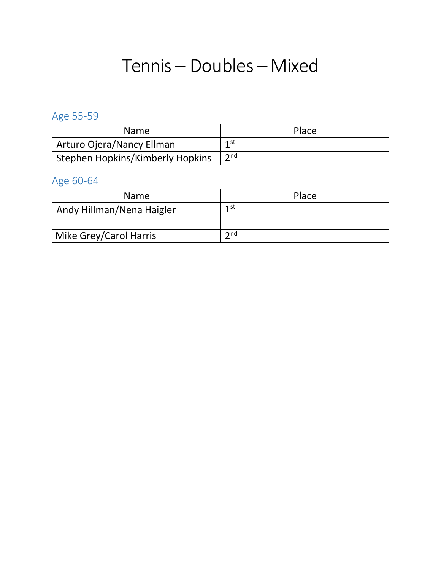## Tennis – Doubles –Mixed

Age 55-59

| <b>Name</b>                      | Place          |
|----------------------------------|----------------|
| Arturo Ojera/Nancy Ellman        | 1st            |
| Stephen Hopkins/Kimberly Hopkins | $\mathsf{and}$ |

## Age 60-64

| <b>Name</b>               | Place             |
|---------------------------|-------------------|
| Andy Hillman/Nena Haigler | 1st               |
| Mike Grey/Carol Harris    | $\mathbf{\Im}$ nd |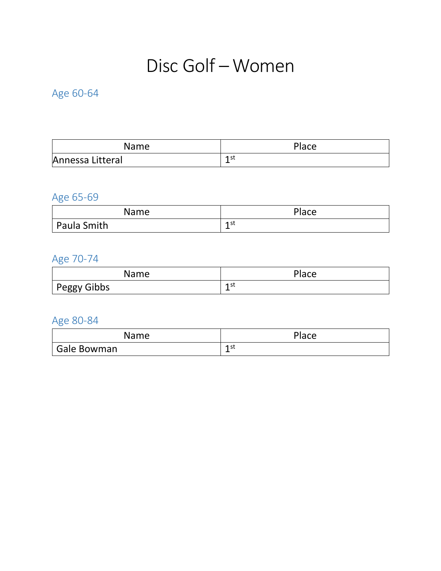## Disc Golf –Women

### Age 60-64

| Name             | Place |
|------------------|-------|
| Annessa Litteral | 1 st  |

## Age 65-69

| Name        | Place                |
|-------------|----------------------|
| Paula Smith | 1st<br><u>. на т</u> |

## Age 70-74

| Name        | Place     |
|-------------|-----------|
| Peggy Gibbs | 1 st<br>- |

| Name        | Place     |
|-------------|-----------|
| Gale Bowman | 1 st<br>- |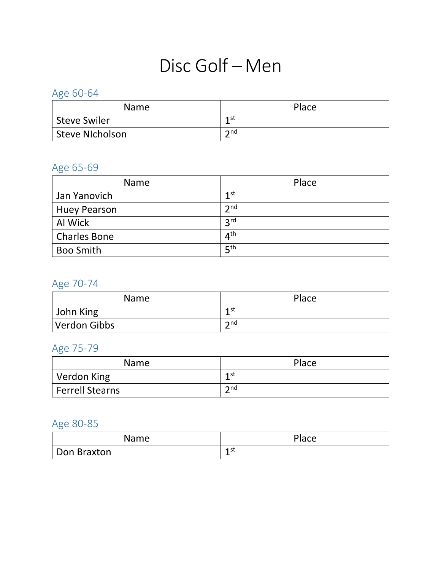## Disc Golf – Men

### Age 60-64

| <b>Name</b>         | Place             |
|---------------------|-------------------|
| <b>Steve Swiler</b> | 1st               |
| Steve NIcholson     | $\mathbf{\Omega}$ |

## Age 65-69

| <b>Name</b>         | Place           |
|---------------------|-----------------|
| Jan Yanovich        | 1 <sup>st</sup> |
| <b>Huey Pearson</b> | 2 <sub>nd</sub> |
| Al Wick             | 3 <sup>rd</sup> |
| <b>Charles Bone</b> | $4^{\text{th}}$ |
| <b>Boo Smith</b>    | $E$ th          |

## Age 70-74

| <b>Name</b>  | Place             |
|--------------|-------------------|
| John King    | 1st               |
| Verdon Gibbs | $\mathbf{\Im}$ nd |

## Age 75-79

| <b>Name</b>            | Place          |
|------------------------|----------------|
| Verdon King            | 1st            |
| <b>Ferrell Stearns</b> | $\mathsf{and}$ |

| Name        | Place    |
|-------------|----------|
| Don Braxton | 1st<br>- |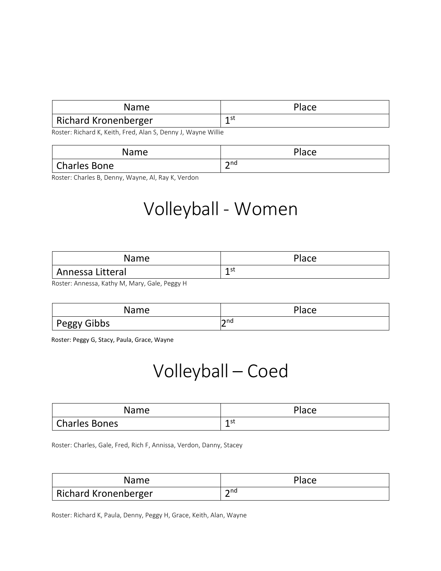| <b>Name</b>          | Place |
|----------------------|-------|
| Richard Kronenberger | 1st   |

Roster: Richard K, Keith, Fred, Alan S, Denny J, Wayne Willie

| Name                | Place                   |
|---------------------|-------------------------|
| <b>Charles Bone</b> | $\mathsf{\sim}$ nd<br>- |

Roster: Charles B, Denny, Wayne, Al, Ray K, Verdon

## Volleyball - Women

| Name             | Place |
|------------------|-------|
| Annessa Litteral | 1 st  |

Roster: Annessa, Kathy M, Mary, Gale, Peggy H

| Name        | Place      |
|-------------|------------|
| Peggy Gibbs | lo nd<br>∼ |

Roster: Peggy G, Stacy, Paula, Grace, Wayne

## Volleyball – Coed

| Name                 | Place    |
|----------------------|----------|
| <b>Charles Bones</b> | 1st<br>- |

Roster: Charles, Gale, Fred, Rich F, Annissa, Verdon, Danny, Stacey

| Name                        | Place                 |
|-----------------------------|-----------------------|
| <b>Richard Kronenberger</b> | $\mathbf{\lambda}$ nd |

Roster: Richard K, Paula, Denny, Peggy H, Grace, Keith, Alan, Wayne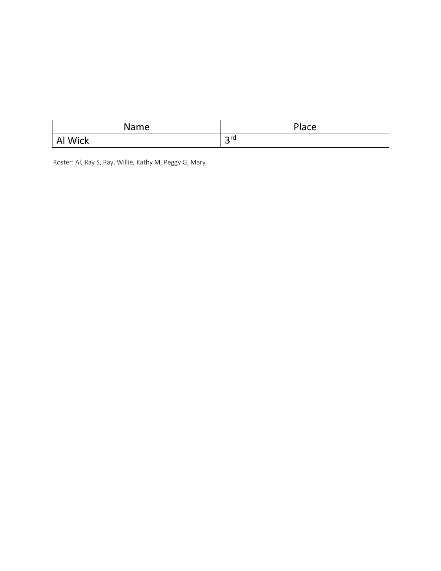| Name           | Place                      |
|----------------|----------------------------|
| Wick           | $\mathsf{C}^{\mathsf{rd}}$ |
| $\overline{A}$ | ب                          |

Roster: Al, Ray S, Ray, Willie, Kathy M, Peggy G, Mary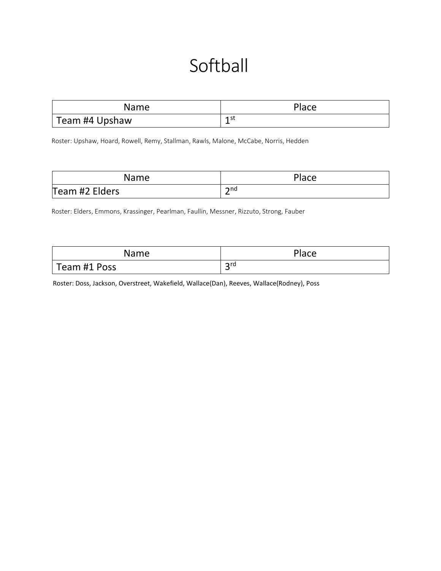# **Softball**

| <b>Name</b>    | Place    |
|----------------|----------|
| Team #4 Upshaw | 1st<br>- |

Roster: Upshaw, Hoard, Rowell, Remy, Stallman, Rawls, Malone, McCabe, Norris, Hedden

| Name           | Place                 |
|----------------|-----------------------|
| Team #2 Elders | $\bm{\gamma}$ nd<br>- |

Roster: Elders, Emmons, Krassinger, Pearlman, Faullin, Messner, Rizzuto, Strong, Fauber

| Name         | <b>Place</b> |
|--------------|--------------|
| Team #1 Poss | 2rd<br>ٮ     |

Roster: Doss, Jackson, Overstreet, Wakefield, Wallace(Dan), Reeves, Wallace(Rodney), Poss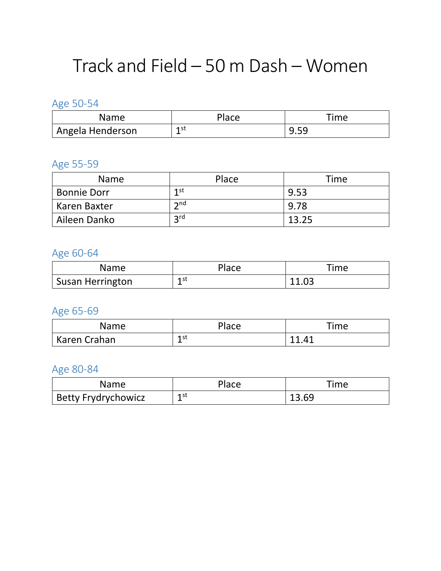## Track and Field – 50 m Dash – Women

Age 50-54

| Name             | Place     | Time             |
|------------------|-----------|------------------|
| Angela Henderson | 1 st<br>- | -59<br>u<br>J.JJ |

#### Age 55-59

| <b>Name</b>        | Place           | Time  |
|--------------------|-----------------|-------|
| <b>Bonnie Dorr</b> | 1st             | 9.53  |
| Karen Baxter       | $\mathsf{h}$ nd | 9.78  |
| Aileen Danko       | <b>2rd</b>      | 13.25 |

### Age 60-64

| Name                    | Place     | $T$ ime |
|-------------------------|-----------|---------|
| <b>Susan Herrington</b> | 1 st<br>- | 11.03   |

### Age 65-69

| Name         | Place     | $T$ ime       |
|--------------|-----------|---------------|
| Karen Crahan | 1 st<br>- | 11 $\Delta$ 1 |

| Name                       | Place          | Time  |
|----------------------------|----------------|-------|
| <b>Betty Frydrychowicz</b> | 1 st<br>-<br>_ | 13.69 |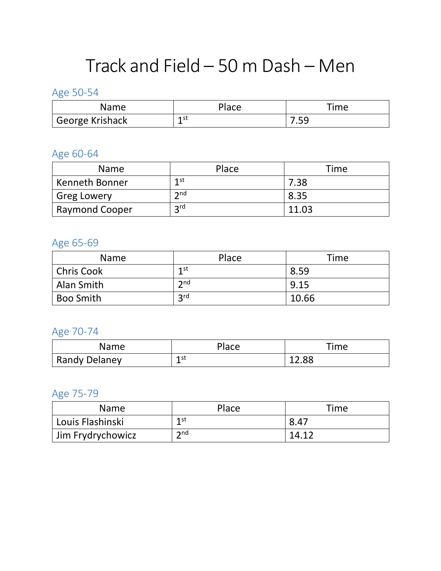# Track and Field – 50 m Dash – Men

### Age 50-54

| Name            | Place    | <b>Time</b> |
|-----------------|----------|-------------|
| George Krishack | 1 st<br> | .           |

### Age 60-64

| <b>Name</b>           | Place           | Time  |
|-----------------------|-----------------|-------|
| <b>Kenneth Bonner</b> | 1 st            | 7.38  |
| <b>Greg Lowery</b>    | $\mathsf{h}$ nd | 8.35  |
| <b>Raymond Cooper</b> | <b>2rd</b>      | 11.03 |

### Age 65-69

| <b>Name</b>       | Place             | Time  |
|-------------------|-------------------|-------|
| <b>Chris Cook</b> | 1st               | 8.59  |
| Alan Smith        | $\mathbf{\Im}$ nd | 9.15  |
| <b>Boo Smith</b>  | 3 <sup>rd</sup>   | 10.66 |

## Age 70-74

| Name          | Place     | Time  |
|---------------|-----------|-------|
| Randy Delaney | 1 st<br>- | 12.88 |

### Age 75-79

| <b>Name</b>       | Place        | Time  |
|-------------------|--------------|-------|
| Louis Flashinski  | 1 st         | 8.47  |
| Jim Frydrychowicz | $\mathsf{d}$ | 14.12 |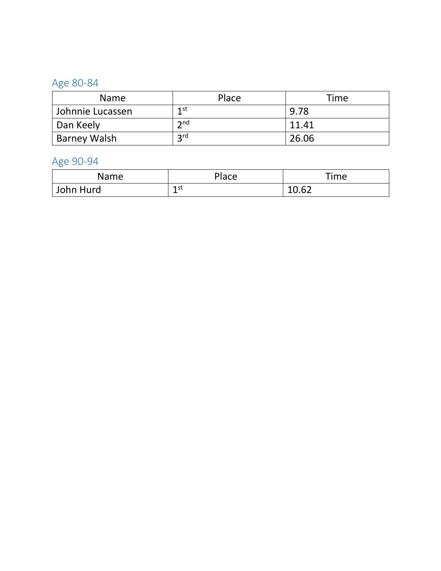#### Age 80 -84

| <b>Name</b>         | Place             | Time  |
|---------------------|-------------------|-------|
| Johnnie Lucassen    | 1st               | 9.78  |
| Dan Keely           | $\mathbf{\Im}$ nd | 11.41 |
| <b>Barney Walsh</b> | <b>2rd</b>        | 26.06 |

#### Age 90-94

| Name      | Place     | Time                  |
|-----------|-----------|-----------------------|
| John Hurd | 1 st<br>- | $10.6^\circ$<br>10.UZ |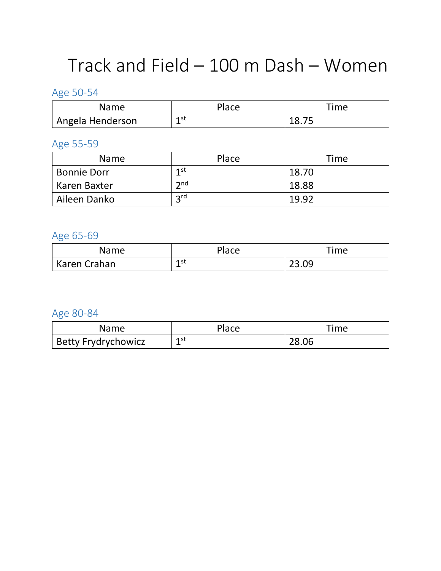## Track and Field – 100 m Dash – Women

### Age 50-54

| Name             | Place      | Time        |
|------------------|------------|-------------|
| Angela Henderson | 1 st<br>-- | 1 O<br>10.7 |

### Age 55-59

| <b>Name</b>        | Place             | Time  |
|--------------------|-------------------|-------|
| <b>Bonnie Dorr</b> | 1st               | 18.70 |
| Karen Baxter       | $\mathbf{\Im}$ nd | 18.88 |
| Aileen Danko       | 2 <sub>rd</sub>   | 19.92 |

### Age 65-69

| Name         | Place     | Time           |
|--------------|-----------|----------------|
| Karen Crahan | 1 st<br>- | 23 Ua<br>とつ・ひつ |

| Name                       | Place     | Time  |
|----------------------------|-----------|-------|
| <b>Betty Frydrychowicz</b> | 1 st<br>- | 28.06 |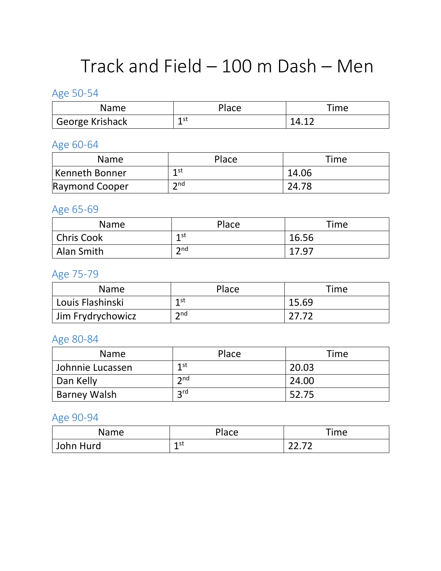# Track and Field – 100 m Dash – Men

### Age 50-54

| Name            | <b>Place</b> | $r$ ime |
|-----------------|--------------|---------|
| George Krishack | 1 st<br>-    |         |

### Age 60-64

| <b>Name</b>    | Place             | <b>Time</b> |
|----------------|-------------------|-------------|
| Kenneth Bonner | 1 <sub>st</sub>   | 14.06       |
| Raymond Cooper | $\mathbf{\Omega}$ | 24.78       |

### Age 65-69

| Name              | Place          | Time  |
|-------------------|----------------|-------|
| <b>Chris Cook</b> | 1st<br>--      | 16.56 |
| Alan Smith        | $\mathsf{and}$ | 17.97 |

### Age 75-79

| Name               | Place           | Time  |
|--------------------|-----------------|-------|
| Louis Flashinski   | 1 <sub>st</sub> | 15.69 |
| 'Jim Frydrychowicz | $\mathsf{D}$ nd | 27.72 |

#### Age 80-84

| <b>Name</b>      | Place      | Time  |
|------------------|------------|-------|
| Johnnie Lucassen | 1st        | 20.03 |
| Dan Kelly        | 2nd        | 24.00 |
| Barney Walsh     | <b>2rd</b> | 52.75 |

### Age 90-94

| Name      | Place     | Time  |
|-----------|-----------|-------|
| John Hurd | 1 st<br>- | רד רר |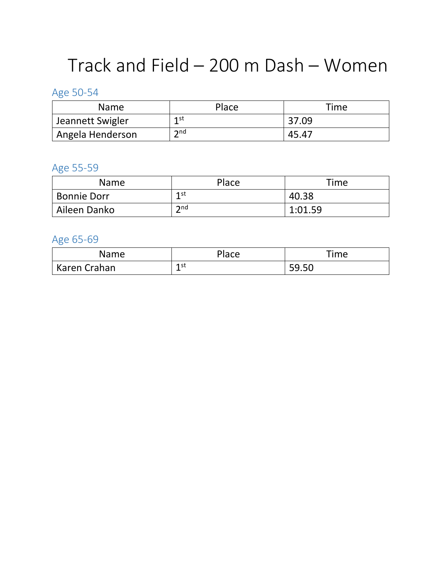## Track and Field – 200 m Dash – Women

## Age 50-54

| <b>Name</b>                   | Place                | Time  |
|-------------------------------|----------------------|-------|
| Jeannett Swigler              | 1st                  | 37.09 |
| <sup>1</sup> Angela Henderson | $\mathbf{\Omega}$ nd | 45.47 |

### Age 55-59

| <b>Name</b>        | Place          | Time    |
|--------------------|----------------|---------|
| <b>Bonnie Dorr</b> | 1 st           | 40.38   |
| Aileen Danko       | $\mathsf{and}$ | 1:01.59 |

### Age 65-69

| Name         | Place                                 | Time  |
|--------------|---------------------------------------|-------|
| Karen Crahan | 1 st<br>-<br>$\overline{\phantom{0}}$ | 59.50 |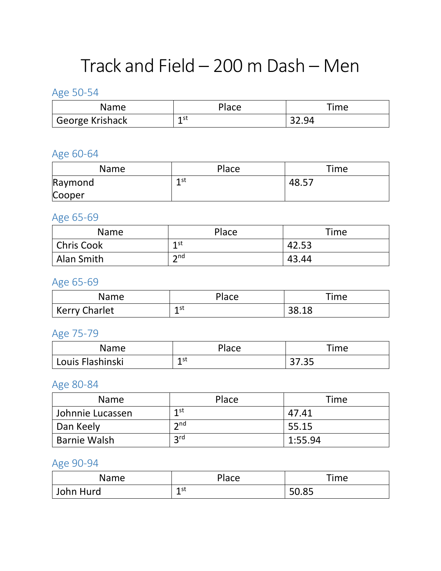# Track and Field – 200 m Dash – Men

### Age 50-54

| Name            | <sup>이</sup> ace | Time |
|-----------------|------------------|------|
| George Krishack | 1 st<br>-        |      |

### Age 60-64

| Name    | Place | Time  |
|---------|-------|-------|
| Raymond | 1 st  | 48.57 |
| Cooper  |       |       |

### Age 65-69

| Name              | Place             | Time  |
|-------------------|-------------------|-------|
| <b>Chris Cook</b> | 1st               | 42.53 |
| Alan Smith        | $\mathbf{\Omega}$ | 43.44 |

### Age 65-69

| Name          | Place | Time  |
|---------------|-------|-------|
| Kerry Charlet | 1 st  | 38.18 |

### Age 75-79

| Name             | Place    | Time           |
|------------------|----------|----------------|
| Louis Flashinski | 1st<br>- | つつ つに<br>J1.JJ |

### Age 80-84

| <b>Name</b>         | Place           | Time    |
|---------------------|-----------------|---------|
| Johnnie Lucassen    | 1 <sub>st</sub> | 47.41   |
| Dan Keely           | $\mathsf{and}$  | 55.15   |
| <b>Barnie Walsh</b> | 2rd             | 1:55.94 |

### Age 90-94

| Name      | Place          | Time  |
|-----------|----------------|-------|
| John Hurd | 1 st<br>-<br>_ | 50.85 |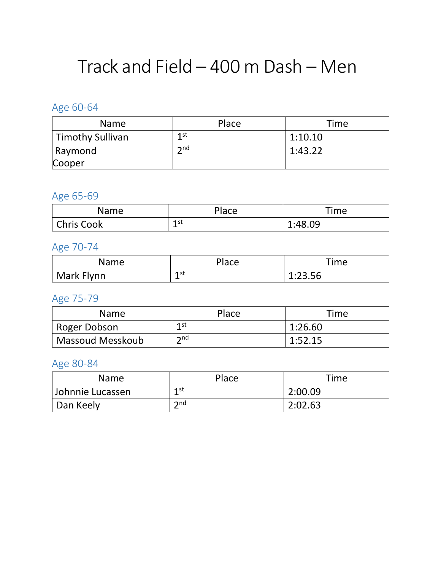## Track and Field – 400 m Dash – Men

### Age 60-64

| <b>Name</b>      | Place           | Time    |
|------------------|-----------------|---------|
| Timothy Sullivan | 1st             | 1:10.10 |
| Raymond          | $\mathsf{h}$ nd | 1:43.22 |
| Cooper           |                 |         |

### Age 65-69

| Name              | Place     | Time    |
|-------------------|-----------|---------|
| <b>Chris Cook</b> | 1 st<br>- | 1:48.09 |

## Age 70-74

| Name         | Place     | Time    |
|--------------|-----------|---------|
| ' Mark Flynn | 1 st<br>- | 1:23.56 |

## Age 75-79

| <b>Name</b>               | Place          | Time    |
|---------------------------|----------------|---------|
| <sup>1</sup> Roger Dobson | 1 st           | 1:26.60 |
| <b>Massoud Messkoub</b>   | $\mathsf{and}$ | 1:52.15 |

| <b>Name</b>      | Place           | Time    |
|------------------|-----------------|---------|
| Johnnie Lucassen | 1 <sub>st</sub> | 2:00.09 |
| Dan Keely        | $\mathsf{and}$  | 2:02.63 |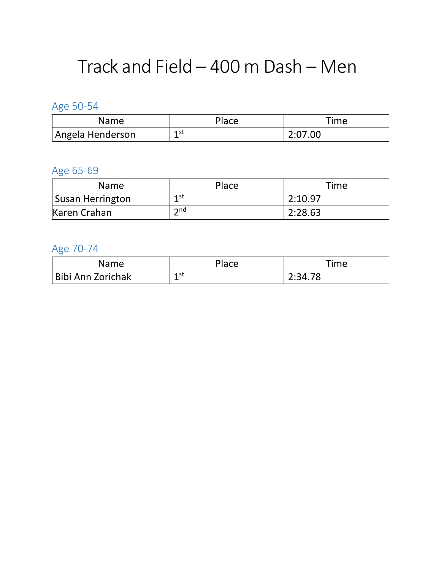## Track and Field – 400 m Dash – Men

Age 50-54

| Name             | Place | Time    |
|------------------|-------|---------|
| Angela Henderson | 1st   | 2:07.00 |

### Age 65-69

| <b>Name</b>      | Place             | <b>Time</b> |
|------------------|-------------------|-------------|
| Susan Herrington | 1st               | 2:10.97     |
| Karen Crahan     | $\mathbf{\Omega}$ | 2:28.63     |

## Age 70-74

| Name              | Place | Time    |
|-------------------|-------|---------|
| Bibi Ann Zorichak | 1st   | 2:34.78 |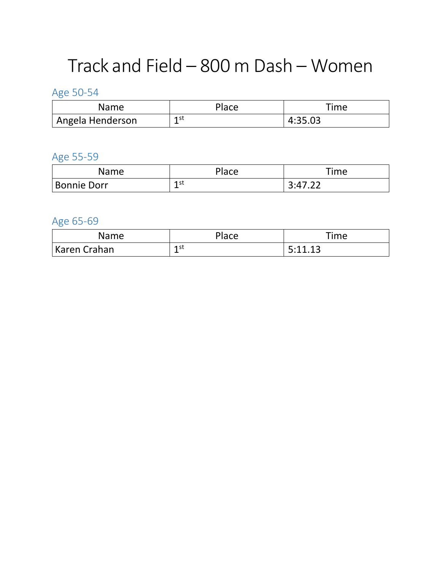## Track and Field – 800 m Dash – Women

Age 50-54

| Name             | Place     | Time    |
|------------------|-----------|---------|
| Angela Henderson | 1 st<br>- | 4:35.03 |

Age 55-59

| <b>Name</b> | Place     | Time |
|-------------|-----------|------|
| Bonnie Dorr | 1 st<br>- |      |

Age 65-69

| Name         | Place | Time                        |
|--------------|-------|-----------------------------|
| Karen Crahan | 1 st  | $5.11$ 12<br><u>J.L.L.J</u> |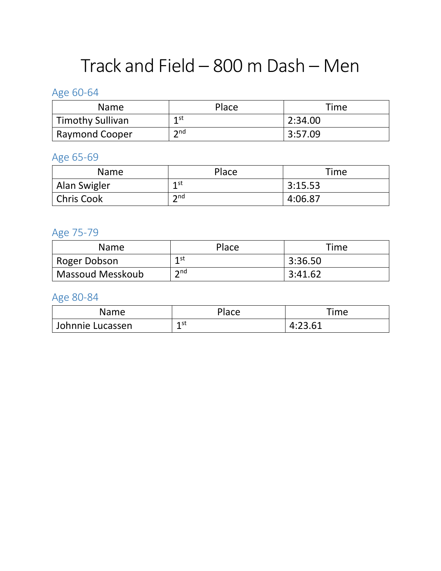# Track and Field – 800 m Dash – Men

## Age 60-64

| <b>Name</b>             | Place             | Time    |
|-------------------------|-------------------|---------|
| <b>Timothy Sullivan</b> | 1 <sub>st</sub>   | 2:34.00 |
| <b>Raymond Cooper</b>   | $\mathbf{\Omega}$ | 3:57.09 |

### Age 65-69

| <b>Name</b>       | Place                | Time    |
|-------------------|----------------------|---------|
| Alan Swigler      | 1st                  | 3:15.53 |
| <b>Chris Cook</b> | $\mathbf{\Omega}$ nd | 4:06.87 |

## Age 75-79

| <b>Name</b>      | Place             | Time    |
|------------------|-------------------|---------|
| Roger Dobson     | 1st               | 3:36.50 |
| Massoud Messkoub | $\mathbf{\Omega}$ | 3:41.62 |

| Name             | Place                                 | Time                                               |
|------------------|---------------------------------------|----------------------------------------------------|
| Johnnie Lucassen | 1 st<br>-<br>$\overline{\phantom{0}}$ | 13 61<br>$\overline{\phantom{a}}$<br>′4<br>7.ZJ.UI |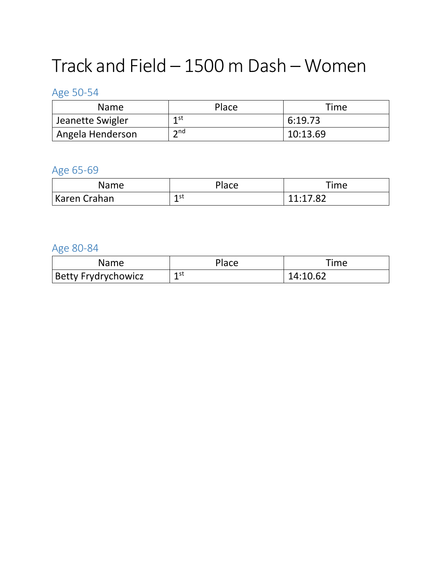# Track and Field – 1500 m Dash – Women

### Age 50-54

| <b>Name</b>                   | Place           | <b>Time</b> |
|-------------------------------|-----------------|-------------|
| Jeanette Swigler              | 1st             | 6:19.73     |
| <sup>1</sup> Angela Henderson | $\mathsf{h}$ nd | 10:13.69    |

### Age 65-69

| Name         | Place     | Time                 |
|--------------|-----------|----------------------|
| Karen Crahan | 1 st<br>- | 11.17.82<br>11.17.02 |

| Name                | Place | Time     |
|---------------------|-------|----------|
| Betty Frydrychowicz | 1 st  | 14:10.62 |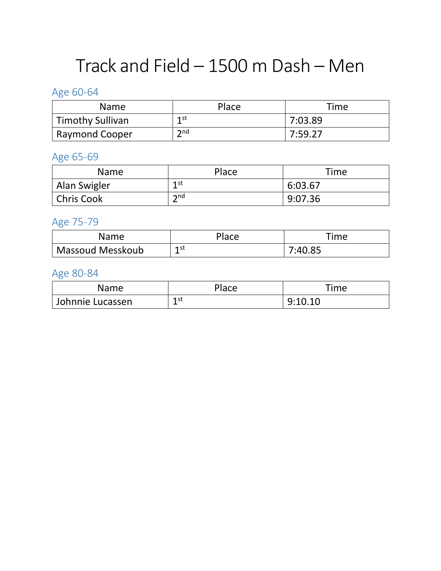# Track and Field – 1500 m Dash – Men

## Age 60-64

| <b>Name</b>             | Place          | Time    |
|-------------------------|----------------|---------|
| <b>Timothy Sullivan</b> | 1st            | 7:03.89 |
| <b>Raymond Cooper</b>   | $\mathsf{and}$ | 7:59.27 |

### Age 65-69

| <b>Name</b>       | Place             | <b>Time</b> |
|-------------------|-------------------|-------------|
| Alan Swigler      | $1$ st            | 6:03.67     |
| <b>Chris Cook</b> | $\mathbf{\Omega}$ | 9:07.36     |

### Age 75-79

| Name             | Place      | Time    |
|------------------|------------|---------|
| Massoud Messkoub | 1 st<br>-- | 7:40.85 |

| Name             | Place | Time    |
|------------------|-------|---------|
| Johnnie Lucassen | 1 st  | 9:10.10 |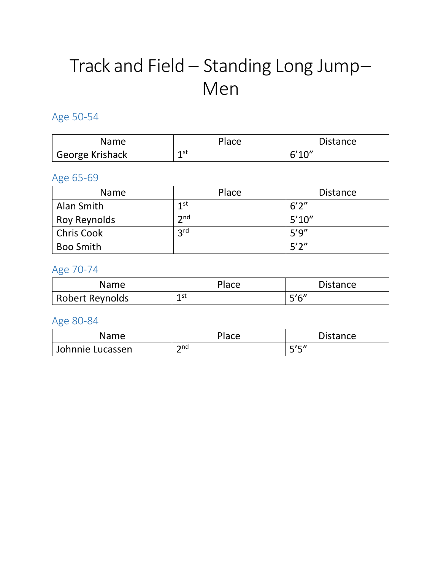# Track and Field – Standing Long Jump– Men

### Age 50-54

| Name              | Place     | <b>Distance</b> |
|-------------------|-----------|-----------------|
| ' George Krishack | 1 st<br>- | 6'10''          |

#### Age 65-69

| <b>Name</b>       | Place           | <b>Distance</b> |
|-------------------|-----------------|-----------------|
| Alan Smith        | 1st             | 6'2''           |
| Roy Reynolds      | 2 <sub>nd</sub> | 5'10''          |
| <b>Chris Cook</b> | 3 <sup>rd</sup> | 5'9''           |
| <b>Boo Smith</b>  |                 | 5'2''           |

### Age 70-74

| <b>Name</b>     | Place     | <b>Distance</b> |
|-----------------|-----------|-----------------|
| Robert Reynolds | 1 st<br>- | - 5'6"          |

| Name             | Place               | <b>Distance</b> |
|------------------|---------------------|-----------------|
| Johnnie Lucassen | $\mathsf{and}$<br>- | エノロリ<br>-<br>້  |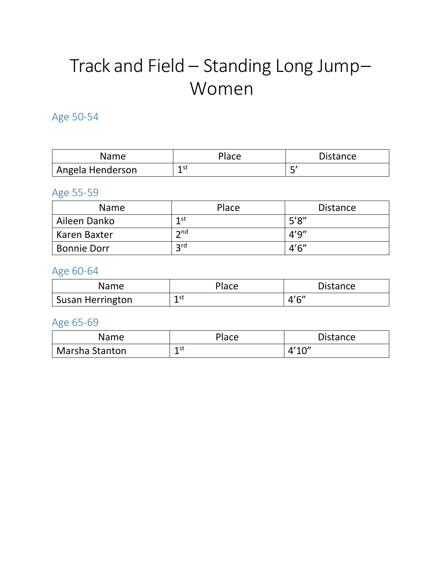# Track and Field – Standing Long Jump– Women

### Age 50-54

| Name             | Place      | <b>Distance</b> |
|------------------|------------|-----------------|
| Angela Henderson | 1 st<br>-- |                 |

### Age 55-59

| <b>Name</b>        | Place                | <b>Distance</b> |
|--------------------|----------------------|-----------------|
| Aileen Danko       | 1st                  | 5'8''           |
| Karen Baxter       | $\mathbf{\Omega}$ nd | 4'9''           |
| <b>Bonnie Dorr</b> | 2 <sub>rd</sub>      | 4'6''           |

#### Age 60-64

| Name                    | Place | <b>Distance</b> |
|-------------------------|-------|-----------------|
| <b>Susan Herrington</b> | 1 st  | 4'6''           |

### Age 65-69

| Name           | Place | <b>Distance</b> |
|----------------|-------|-----------------|
| Marsha Stanton | 1 st  | 4'10''          |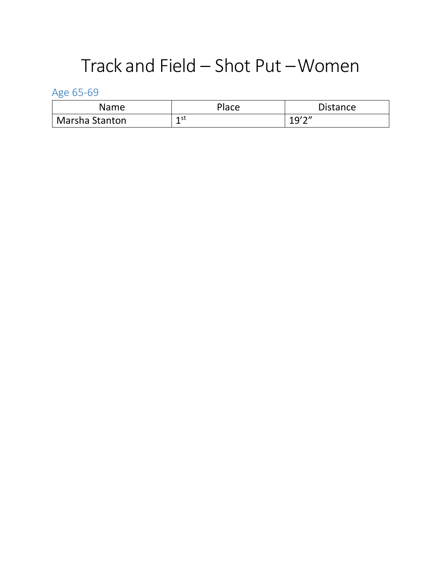## Track and Field – Shot Put –Women

Age 65-69

| Name                  | Place    | <b>Distance</b> |
|-----------------------|----------|-----------------|
| <b>Marsha Stanton</b> | 1st<br>- | 10'2''<br>---   |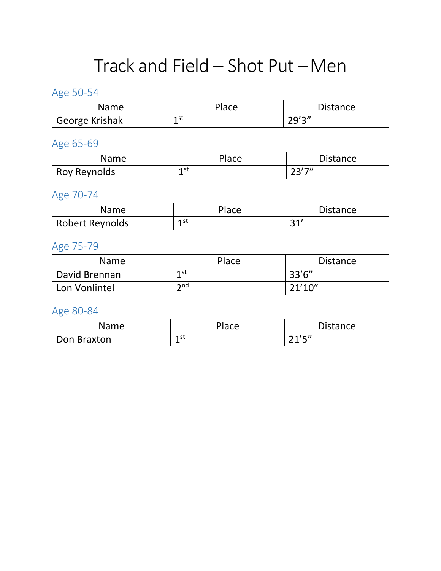## Track and Field – Shot Put –Men

### Age 50-54

| Name                  | Place     | <b>Distance</b> |
|-----------------------|-----------|-----------------|
| <b>George Krishak</b> | 1 st<br>- | 70'3''<br>ر رے  |

### Age 65-69

| Name         | Place     | <b>Distance</b> |
|--------------|-----------|-----------------|
| Roy Reynolds | 1 st<br>- | つつソフッ<br>້      |

#### Age 70-74

| Name            | Place     | <b>Distance</b> |
|-----------------|-----------|-----------------|
| Robert Reynolds | 1 st<br>÷ | $\bigcap$<br>ັ  |

### Age 75-79

| <b>Name</b>   | Place                | <b>Distance</b> |
|---------------|----------------------|-----------------|
| David Brennan | 1 st                 | 33'6''          |
| Lon Vonlintel | $\mathsf{\Sigma}$ nd | 21'10''         |

| Name        | Place | <b>Distance</b> |
|-------------|-------|-----------------|
| Don Braxton | 1 st  | 24/7            |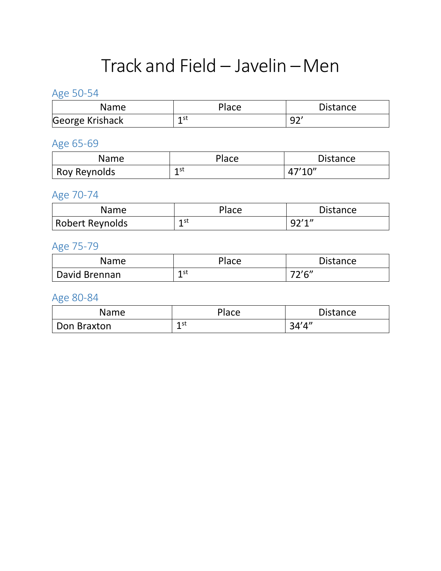## Track and Field – Javelin –Men

## Age 50-54

| Name            | Place     | <b>Distance</b> |
|-----------------|-----------|-----------------|
| George Krishack | 1 st<br>- | ∩∩              |

### Age 65-69

| Name         | Place | <b>Distance</b> |
|--------------|-------|-----------------|
| Roy Reynolds | 1 st  | 47'10''         |

### Age 70-74

| Name            | Place     | <b>Distance</b> |
|-----------------|-----------|-----------------|
| Robert Reynolds | 1 st<br>- | Q2'1''          |

### Age 75-79

| Name          | <b>Place</b> | <b>Distance</b>         |
|---------------|--------------|-------------------------|
| David Brennan | 1 st<br>-    | $72'$ $C''$<br><u>_</u> |

| Name        | Place     | <b>Distance</b> |
|-------------|-----------|-----------------|
| Don Braxton | 1 st<br>- | 34'4''          |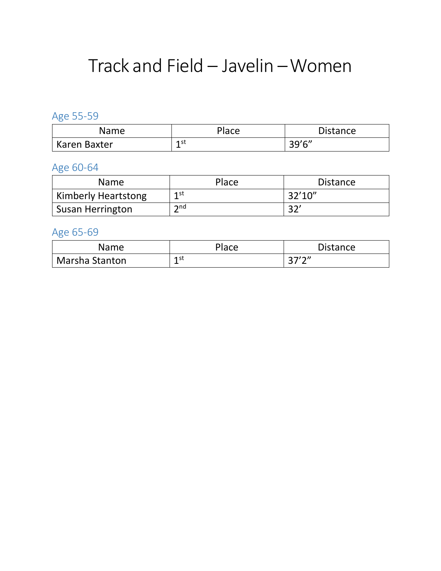## Track and Field – Javelin –Women

## Age 55-59

| Name         | Place      | <b>Distance</b>                           |
|--------------|------------|-------------------------------------------|
| Karen Baxter | 1 st<br>-- | $20'$ <sup><math>\zeta</math></sup><br>JJ |

### Age 60-64

| <b>Name</b>                | Place                | <b>Distance</b> |
|----------------------------|----------------------|-----------------|
| <b>Kimberly Heartstong</b> | $1$ st<br>-          | 32'10''         |
| <b>Susan Herrington</b>    | $\mathsf{\Sigma}$ nd | 32'             |

### Age 65-69

| Name                  | Place | <b>Distance</b> |
|-----------------------|-------|-----------------|
| <b>Marsha Stanton</b> | 1 st  | つつ/つ〃           |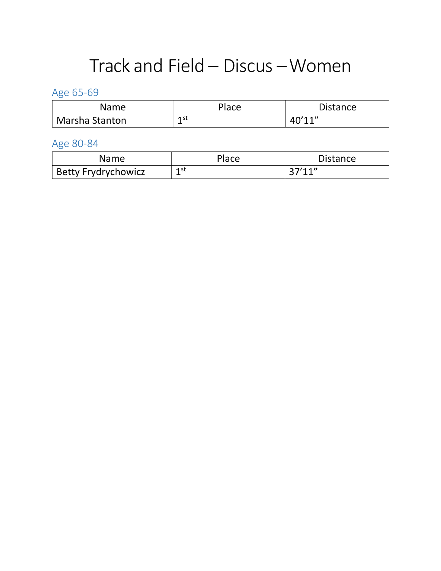## Track and Field – Discus –Women

## Age 65-69

| Name           | Place     | <b>Distance</b> |
|----------------|-----------|-----------------|
| Marsha Stanton | 1 st<br>- | 40'11''         |

| <b>Name</b>                | Place     | Distance |
|----------------------------|-----------|----------|
| <b>Betty Frydrychowicz</b> | 1 st<br>- | 27'11''  |